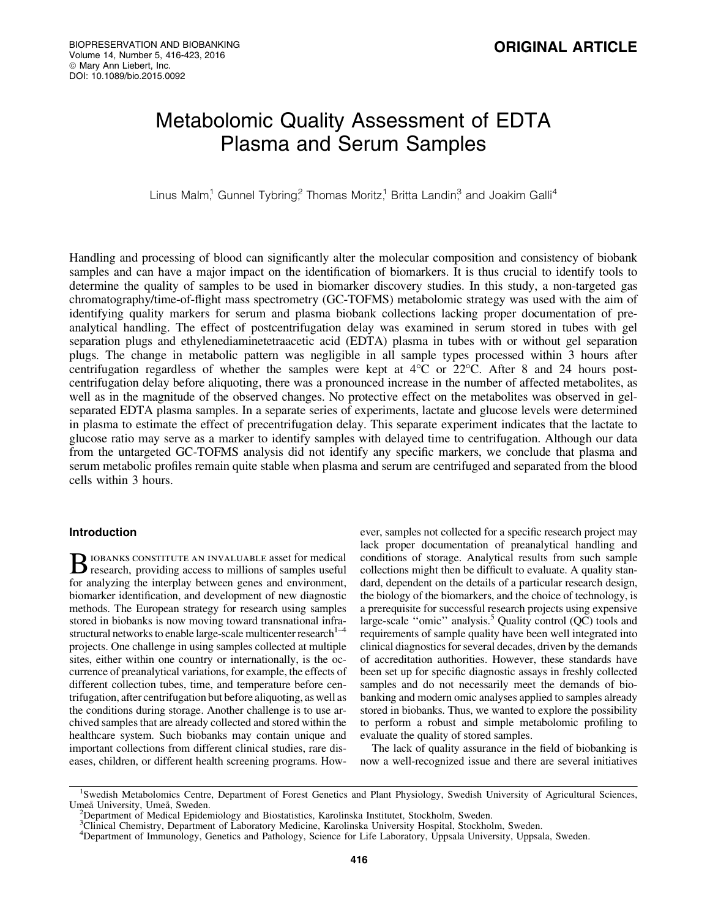# Metabolomic Quality Assessment of EDTA Plasma and Serum Samples

Linus Malm,<sup>1</sup> Gunnel Tybring,<sup>2</sup> Thomas Moritz,<sup>1</sup> Britta Landin,<sup>3</sup> and Joakim Galli<sup>4</sup>

Handling and processing of blood can significantly alter the molecular composition and consistency of biobank samples and can have a major impact on the identification of biomarkers. It is thus crucial to identify tools to determine the quality of samples to be used in biomarker discovery studies. In this study, a non-targeted gas chromatography/time-of-flight mass spectrometry (GC-TOFMS) metabolomic strategy was used with the aim of identifying quality markers for serum and plasma biobank collections lacking proper documentation of preanalytical handling. The effect of postcentrifugation delay was examined in serum stored in tubes with gel separation plugs and ethylenediaminetetraacetic acid (EDTA) plasma in tubes with or without gel separation plugs. The change in metabolic pattern was negligible in all sample types processed within 3 hours after centrifugation regardless of whether the samples were kept at  $4^{\circ}$ C or  $22^{\circ}$ C. After 8 and 24 hours postcentrifugation delay before aliquoting, there was a pronounced increase in the number of affected metabolites, as well as in the magnitude of the observed changes. No protective effect on the metabolites was observed in gelseparated EDTA plasma samples. In a separate series of experiments, lactate and glucose levels were determined in plasma to estimate the effect of precentrifugation delay. This separate experiment indicates that the lactate to glucose ratio may serve as a marker to identify samples with delayed time to centrifugation. Although our data from the untargeted GC-TOFMS analysis did not identify any specific markers, we conclude that plasma and serum metabolic profiles remain quite stable when plasma and serum are centrifuged and separated from the blood cells within 3 hours.

# Introduction

B IOBANKS CONSTITUTE AN INVALUABLE asset for medical<br>research, providing access to millions of samples useful for analyzing the interplay between genes and environment, biomarker identification, and development of new diagnostic methods. The European strategy for research using samples stored in biobanks is now moving toward transnational infrastructural networks to enable large-scale multicenter research $1-4$ projects. One challenge in using samples collected at multiple sites, either within one country or internationally, is the occurrence of preanalytical variations, for example, the effects of different collection tubes, time, and temperature before centrifugation, after centrifugation but before aliquoting, as well as the conditions during storage. Another challenge is to use archived samples that are already collected and stored within the healthcare system. Such biobanks may contain unique and important collections from different clinical studies, rare diseases, children, or different health screening programs. However, samples not collected for a specific research project may lack proper documentation of preanalytical handling and conditions of storage. Analytical results from such sample collections might then be difficult to evaluate. A quality standard, dependent on the details of a particular research design, the biology of the biomarkers, and the choice of technology, is a prerequisite for successful research projects using expensive large-scale "omic" analysis.<sup>5</sup> Quality control  $(QC)$  tools and requirements of sample quality have been well integrated into clinical diagnostics for several decades, driven by the demands of accreditation authorities. However, these standards have been set up for specific diagnostic assays in freshly collected samples and do not necessarily meet the demands of biobanking and modern omic analyses applied to samples already stored in biobanks. Thus, we wanted to explore the possibility to perform a robust and simple metabolomic profiling to evaluate the quality of stored samples.

The lack of quality assurance in the field of biobanking is now a well-recognized issue and there are several initiatives

<sup>&</sup>lt;sup>1</sup>Swedish Metabolomics Centre, Department of Forest Genetics and Plant Physiology, Swedish University of Agricultural Sciences, Umeå University, Umeå, Sweden.

Department of Medical Epidemiology and Biostatistics, Karolinska Institutet, Stockholm, Sweden.

<sup>&</sup>lt;sup>3</sup>Clinical Chemistry, Department of Laboratory Medicine, Karolinska University Hospital, Stockholm, Sweden.

<sup>&</sup>lt;sup>4</sup>Department of Immunology, Genetics and Pathology, Science for Life Laboratory, Uppsala University, Uppsala, Sweden.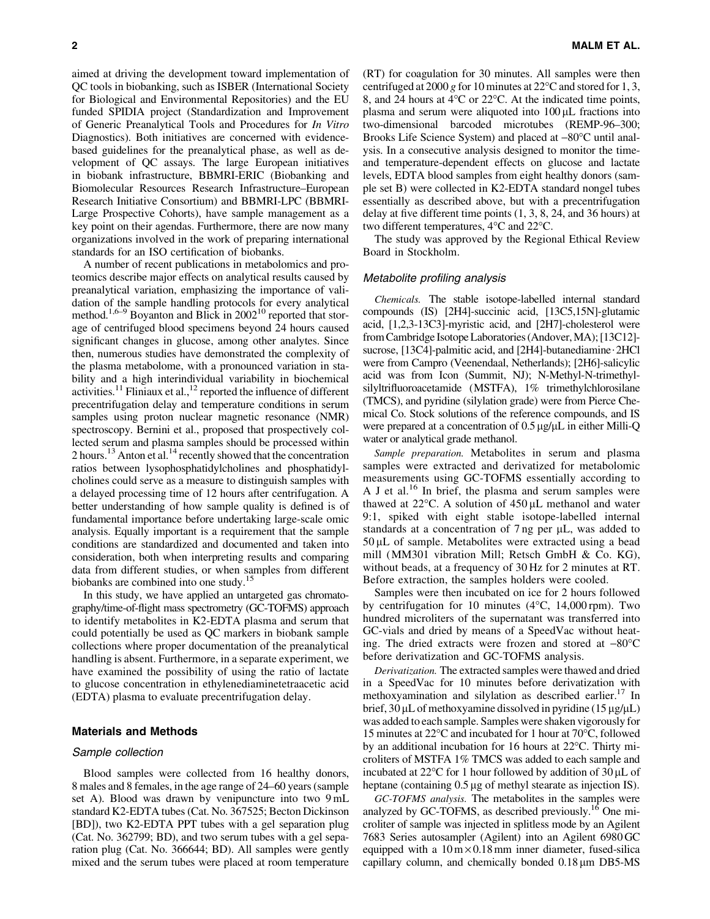aimed at driving the development toward implementation of QC tools in biobanking, such as ISBER (International Society for Biological and Environmental Repositories) and the EU funded SPIDIA project (Standardization and Improvement of Generic Preanalytical Tools and Procedures for *In Vitro* Diagnostics). Both initiatives are concerned with evidencebased guidelines for the preanalytical phase, as well as development of QC assays. The large European initiatives in biobank infrastructure, BBMRI-ERIC (Biobanking and Biomolecular Resources Research Infrastructure–European Research Initiative Consortium) and BBMRI-LPC (BBMRI-Large Prospective Cohorts), have sample management as a key point on their agendas. Furthermore, there are now many organizations involved in the work of preparing international standards for an ISO certification of biobanks.

A number of recent publications in metabolomics and proteomics describe major effects on analytical results caused by preanalytical variation, emphasizing the importance of validation of the sample handling protocols for every analytical method.<sup>1,6–9</sup> Boyanton and Blick in 2002<sup>10</sup> reported that storage of centrifuged blood specimens beyond 24 hours caused significant changes in glucose, among other analytes. Since then, numerous studies have demonstrated the complexity of the plasma metabolome, with a pronounced variation in stability and a high interindividual variability in biochemical activities.<sup>11</sup> Fliniaux et al.,<sup>12</sup> reported the influence of different precentrifugation delay and temperature conditions in serum samples using proton nuclear magnetic resonance (NMR) spectroscopy. Bernini et al., proposed that prospectively collected serum and plasma samples should be processed within 2 hours.<sup>13</sup> Anton et al.<sup>14</sup> recently showed that the concentration ratios between lysophosphatidylcholines and phosphatidylcholines could serve as a measure to distinguish samples with a delayed processing time of 12 hours after centrifugation. A better understanding of how sample quality is defined is of fundamental importance before undertaking large-scale omic analysis. Equally important is a requirement that the sample conditions are standardized and documented and taken into consideration, both when interpreting results and comparing data from different studies, or when samples from different biobanks are combined into one study.15

In this study, we have applied an untargeted gas chromatography/time-of-flight mass spectrometry (GC-TOFMS) approach to identify metabolites in K2-EDTA plasma and serum that could potentially be used as QC markers in biobank sample collections where proper documentation of the preanalytical handling is absent. Furthermore, in a separate experiment, we have examined the possibility of using the ratio of lactate to glucose concentration in ethylenediaminetetraacetic acid (EDTA) plasma to evaluate precentrifugation delay.

### Materials and Methods

## Sample collection

Blood samples were collected from 16 healthy donors, 8 males and 8 females, in the age range of 24–60 years (sample set A). Blood was drawn by venipuncture into two 9 mL standard K2-EDTA tubes (Cat. No. 367525; Becton Dickinson [BD]), two K2-EDTA PPT tubes with a gel separation plug (Cat. No. 362799; BD), and two serum tubes with a gel separation plug (Cat. No. 366644; BD). All samples were gently mixed and the serum tubes were placed at room temperature (RT) for coagulation for 30 minutes. All samples were then centrifuged at  $2000 g$  for 10 minutes at  $22^{\circ}$ C and stored for 1, 3, 8, and 24 hours at  $4^{\circ}$ C or 22 $^{\circ}$ C. At the indicated time points, plasma and serum were aliquoted into  $100 \mu L$  fractions into two-dimensional barcoded microtubes (REMP-96–300; Brooks Life Science System) and placed at  $-80^{\circ}$ C until analysis. In a consecutive analysis designed to monitor the timeand temperature-dependent effects on glucose and lactate levels, EDTA blood samples from eight healthy donors (sample set B) were collected in K2-EDTA standard nongel tubes essentially as described above, but with a precentrifugation delay at five different time points (1, 3, 8, 24, and 36 hours) at two different temperatures,  $4^{\circ}$ C and  $22^{\circ}$ C.

The study was approved by the Regional Ethical Review Board in Stockholm.

#### Metabolite profiling analysis

*Chemicals.* The stable isotope-labelled internal standard compounds (IS) [2H4]-succinic acid, [13C5,15N]-glutamic acid, [1,2,3-13C3]-myristic acid, and [2H7]-cholesterol were from Cambridge Isotope Laboratories (Andover, MA); [13C12]sucrose, [13C4]-palmitic acid, and [2H4]-butanediamine $\cdot$ 2HCl were from Campro (Veenendaal, Netherlands); [2H6]-salicylic acid was from Icon (Summit, NJ); N-Methyl-N-trimethylsilyltrifluoroacetamide (MSTFA), 1% trimethylchlorosilane (TMCS), and pyridine (silylation grade) were from Pierce Chemical Co. Stock solutions of the reference compounds, and IS were prepared at a concentration of  $0.5 \mu g/\mu L$  in either Milli-Q water or analytical grade methanol.

*Sample preparation.* Metabolites in serum and plasma samples were extracted and derivatized for metabolomic measurements using GC-TOFMS essentially according to A J et al.<sup>16</sup> In brief, the plasma and serum samples were thawed at  $22^{\circ}$ C. A solution of  $450 \,\mu$ L methanol and water 9:1, spiked with eight stable isotope-labelled internal standards at a concentration of  $7 \text{ ng per } \mu L$ , was added to  $50 \mu L$  of sample. Metabolites were extracted using a bead mill (MM301 vibration Mill; Retsch GmbH & Co. KG), without beads, at a frequency of 30 Hz for 2 minutes at RT. Before extraction, the samples holders were cooled.

Samples were then incubated on ice for 2 hours followed by centrifugation for 10 minutes  $(4^{\circ}C, 14{,}000$  rpm). Two hundred microliters of the supernatant was transferred into GC-vials and dried by means of a SpeedVac without heating. The dried extracts were frozen and stored at  $-80^{\circ}$ C before derivatization and GC-TOFMS analysis.

*Derivatization.* The extracted samples were thawed and dried in a SpeedVac for 10 minutes before derivatization with methoxyamination and silylation as described earlier.<sup>17</sup> In brief,  $30 \mu L$  of methoxyamine dissolved in pyridine ( $15 \mu g/\mu L$ ) was added to each sample. Samples were shaken vigorously for 15 minutes at 22°C and incubated for 1 hour at 70°C, followed by an additional incubation for 16 hours at 22°C. Thirty microliters of MSTFA 1% TMCS was added to each sample and incubated at  $22^{\circ}$ C for 1 hour followed by addition of  $30 \mu$ L of heptane (containing  $0.5 \,\mu$ g of methyl stearate as injection IS).

*GC-TOFMS analysis.* The metabolites in the samples were analyzed by GC-TOFMS, as described previously.<sup>16</sup> One microliter of sample was injected in splitless mode by an Agilent 7683 Series autosampler (Agilent) into an Agilent 6980 GC equipped with a  $10 \text{ m} \times 0.18 \text{ mm}$  inner diameter, fused-silica capillary column, and chemically bonded  $0.18 \mu m$  DB5-MS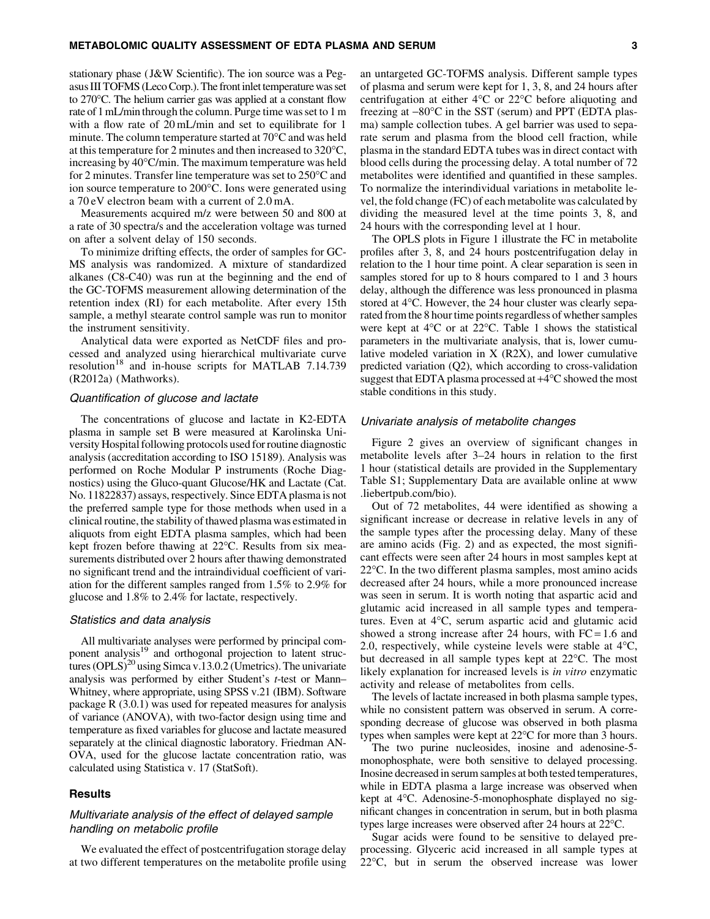stationary phase ( J&W Scientific). The ion source was a Pegasus III TOFMS (Leco Corp.). The front inlet temperature was set to 270°C. The helium carrier gas was applied at a constant flow rate of 1 mL/min through the column. Purge time was set to 1 m with a flow rate of 20 mL/min and set to equilibrate for 1 minute. The column temperature started at  $70^{\circ}$ C and was held at this temperature for 2 minutes and then increased to  $320^{\circ}$ C, increasing by 40°C/min. The maximum temperature was held for 2 minutes. Transfer line temperature was set to  $250^{\circ}$ C and ion source temperature to 200°C. Ions were generated using a 70 eV electron beam with a current of 2.0 mA.

Measurements acquired m/z were between 50 and 800 at a rate of 30 spectra/s and the acceleration voltage was turned on after a solvent delay of 150 seconds.

To minimize drifting effects, the order of samples for GC-MS analysis was randomized. A mixture of standardized alkanes (C8-C40) was run at the beginning and the end of the GC-TOFMS measurement allowing determination of the retention index (RI) for each metabolite. After every 15th sample, a methyl stearate control sample was run to monitor the instrument sensitivity.

Analytical data were exported as NetCDF files and processed and analyzed using hierarchical multivariate curve resolution<sup>18</sup> and in-house scripts for MATLAB 7.14.739 (R2012a) (Mathworks).

## Quantification of glucose and lactate

The concentrations of glucose and lactate in K2-EDTA plasma in sample set B were measured at Karolinska University Hospital following protocols used for routine diagnostic analysis (accreditation according to ISO 15189). Analysis was performed on Roche Modular P instruments (Roche Diagnostics) using the Gluco-quant Glucose/HK and Lactate (Cat. No. 11822837) assays, respectively. Since EDTA plasma is not the preferred sample type for those methods when used in a clinical routine, the stability of thawed plasma was estimated in aliquots from eight EDTA plasma samples, which had been kept frozen before thawing at 22°C. Results from six measurements distributed over 2 hours after thawing demonstrated no significant trend and the intraindividual coefficient of variation for the different samples ranged from 1.5% to 2.9% for glucose and 1.8% to 2.4% for lactate, respectively.

## Statistics and data analysis

All multivariate analyses were performed by principal component analysis<sup>19</sup> and orthogonal projection to latent structures  $(OPLS)^{20}$  using Simca v.13.0.2 (Umetrics). The univariate analysis was performed by either Student's *t*-test or Mann– Whitney, where appropriate, using SPSS v.21 (IBM). Software package R (3.0.1) was used for repeated measures for analysis of variance (ANOVA), with two-factor design using time and temperature as fixed variables for glucose and lactate measured separately at the clinical diagnostic laboratory. Friedman AN-OVA, used for the glucose lactate concentration ratio, was calculated using Statistica v. 17 (StatSoft).

# **Results**

# Multivariate analysis of the effect of delayed sample handling on metabolic profile

We evaluated the effect of postcentrifugation storage delay at two different temperatures on the metabolite profile using an untargeted GC-TOFMS analysis. Different sample types of plasma and serum were kept for 1, 3, 8, and 24 hours after centrifugation at either  $4^{\circ}$ C or  $22^{\circ}$ C before aliquoting and freezing at  $-80^{\circ}$ C in the SST (serum) and PPT (EDTA plasma) sample collection tubes. A gel barrier was used to separate serum and plasma from the blood cell fraction, while plasma in the standard EDTA tubes was in direct contact with blood cells during the processing delay. A total number of 72 metabolites were identified and quantified in these samples. To normalize the interindividual variations in metabolite level, the fold change (FC) of each metabolite was calculated by dividing the measured level at the time points 3, 8, and 24 hours with the corresponding level at 1 hour.

The OPLS plots in Figure 1 illustrate the FC in metabolite profiles after 3, 8, and 24 hours postcentrifugation delay in relation to the 1 hour time point. A clear separation is seen in samples stored for up to 8 hours compared to 1 and 3 hours delay, although the difference was less pronounced in plasma stored at 4°C. However, the 24 hour cluster was clearly separated from the 8 hour time points regardless of whether samples were kept at  $4^{\circ}$ C or at 22 $^{\circ}$ C. Table 1 shows the statistical parameters in the multivariate analysis, that is, lower cumulative modeled variation in X (R2X), and lower cumulative predicted variation (Q2), which according to cross-validation suggest that EDTA plasma processed at  $+4^{\circ}C$  showed the most stable conditions in this study.

## Univariate analysis of metabolite changes

Figure 2 gives an overview of significant changes in metabolite levels after 3–24 hours in relation to the first 1 hour (statistical details are provided in the Supplementary Table S1; Supplementary Data are available online at www .liebertpub.com/bio).

Out of 72 metabolites, 44 were identified as showing a significant increase or decrease in relative levels in any of the sample types after the processing delay. Many of these are amino acids (Fig. 2) and as expected, the most significant effects were seen after 24 hours in most samples kept at 22°C. In the two different plasma samples, most amino acids decreased after 24 hours, while a more pronounced increase was seen in serum. It is worth noting that aspartic acid and glutamic acid increased in all sample types and temperatures. Even at 4°C, serum aspartic acid and glutamic acid showed a strong increase after 24 hours, with  $FC = 1.6$  and 2.0, respectively, while cysteine levels were stable at  $4^{\circ}C$ , but decreased in all sample types kept at 22°C. The most likely explanation for increased levels is *in vitro* enzymatic activity and release of metabolites from cells.

The levels of lactate increased in both plasma sample types, while no consistent pattern was observed in serum. A corresponding decrease of glucose was observed in both plasma types when samples were kept at  $22^{\circ}$ C for more than 3 hours.

The two purine nucleosides, inosine and adenosine-5 monophosphate, were both sensitive to delayed processing. Inosine decreased in serum samples at both tested temperatures, while in EDTA plasma a large increase was observed when kept at 4°C. Adenosine-5-monophosphate displayed no significant changes in concentration in serum, but in both plasma types large increases were observed after 24 hours at 22°C.

Sugar acids were found to be sensitive to delayed preprocessing. Glyceric acid increased in all sample types at  $22^{\circ}$ C, but in serum the observed increase was lower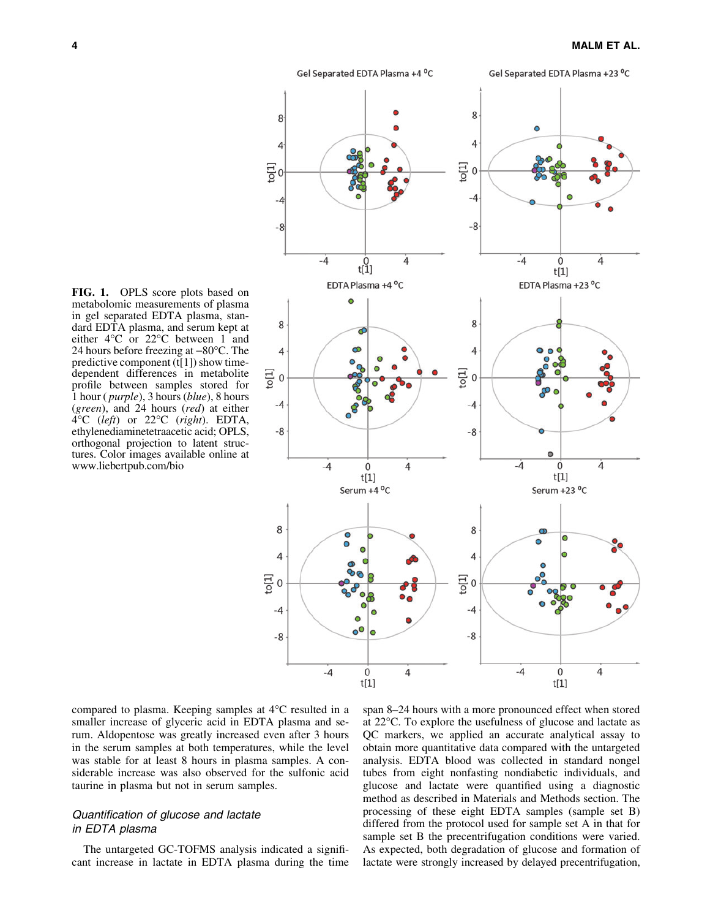

FIG. 1. OPLS score plots based on metabolomic measurements of plasma in gel separated EDTA plasma, standard EDTA plasma, and serum kept at either  $4^{\circ}$ C or  $22^{\circ}$ C between 1 and 24 hours before freezing at  $-80^{\circ}$ C. The predictive component  $(t[1])$  show timedependent differences in metabolite profile between samples stored for 1 hour ( *purple*), 3 hours (*blue*), 8 hours (*green*), and 24 hours (*red*) at either 4-C (*left*) or 22-C (*right*). EDTA, ethylenediaminetetraacetic acid; OPLS, orthogonal projection to latent structures. Color images available online at www.liebertpub.com/bio

compared to plasma. Keeping samples at 4°C resulted in a smaller increase of glyceric acid in EDTA plasma and serum. Aldopentose was greatly increased even after 3 hours in the serum samples at both temperatures, while the level was stable for at least 8 hours in plasma samples. A considerable increase was also observed for the sulfonic acid taurine in plasma but not in serum samples.

# Quantification of glucose and lactate in EDTA plasma

The untargeted GC-TOFMS analysis indicated a significant increase in lactate in EDTA plasma during the time

span 8–24 hours with a more pronounced effect when stored at 22 °C. To explore the usefulness of glucose and lactate as QC markers, we applied an accurate analytical assay to obtain more quantitative data compared with the untargeted analysis. EDTA blood was collected in standard nongel tubes from eight nonfasting nondiabetic individuals, and glucose and lactate were quantified using a diagnostic method as described in Materials and Methods section. The processing of these eight EDTA samples (sample set B) differed from the protocol used for sample set A in that for sample set B the precentrifugation conditions were varied. As expected, both degradation of glucose and formation of lactate were strongly increased by delayed precentrifugation,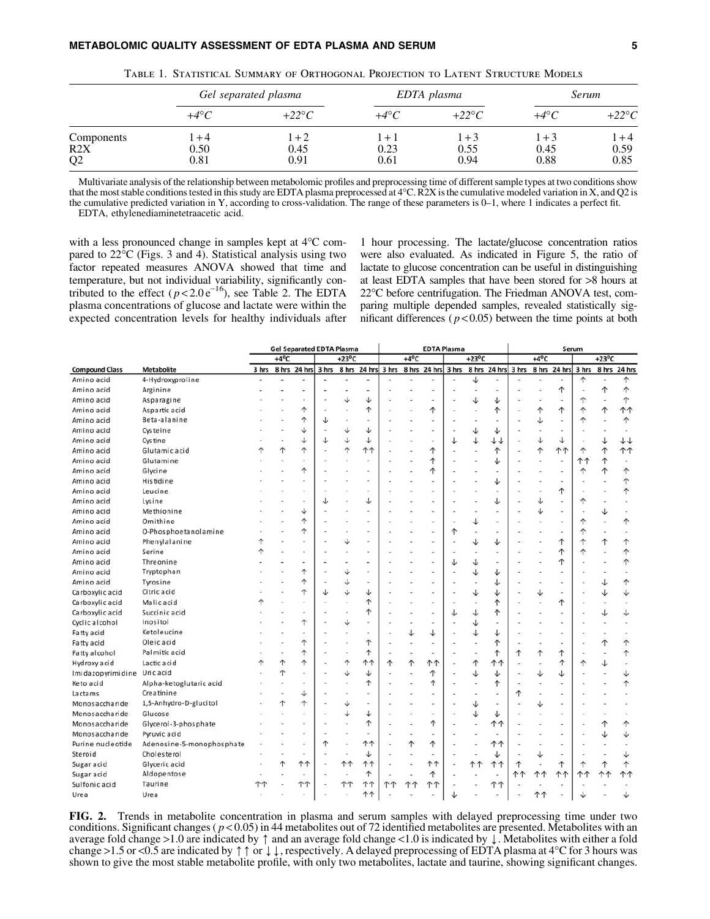| TABLE 1. STATISTICAL SUMMARY OF ORTHOGONAL PROJECTION TO LATENT STRUCTURE MODELS |                         |                         |                         |                         |                         |                         |  |  |  |  |
|----------------------------------------------------------------------------------|-------------------------|-------------------------|-------------------------|-------------------------|-------------------------|-------------------------|--|--|--|--|
|                                                                                  |                         | Gel separated plasma    |                         | EDTA plasma             | <i>Serum</i>            |                         |  |  |  |  |
|                                                                                  | $+4^{\circ}C$           | $+22\degree C$          | $+4^{\circ}C$           | $+22\degree C$          | $+4^\circ C$            | $+22^{\circ}C$          |  |  |  |  |
| Components<br>R2X<br>Q <sub>2</sub>                                              | $1 + 4$<br>0.50<br>0.81 | $1 + 2$<br>0.45<br>0.91 | $1 + 1$<br>0.23<br>0.61 | $1 + 3$<br>0.55<br>0.94 | $1 + 3$<br>0.45<br>0.88 | $1 + 4$<br>0.59<br>0.85 |  |  |  |  |

Multivariate analysis of the relationship between metabolomic profiles and preprocessing time of different sample types at two conditions show that the most stable conditions tested in this study are EDTA plasma preprocessed at 4°C. R2X is the cumulative modeled variation in X, and Q2 is the cumulative predicted variation in Y, according to cross-validation. The range of these parameters is 0–1, where 1 indicates a perfect fit. EDTA, ethylenediaminetetraacetic acid.

with a less pronounced change in samples kept at  $4^{\circ}$ C compared to 22°C (Figs. 3 and 4). Statistical analysis using two factor repeated measures ANOVA showed that time and temperature, but not individual variability, significantly contributed to the effect  $(p<2.0 e^{-16})$ , see Table 2. The EDTA plasma concentrations of glucose and lactate were within the expected concentration levels for healthy individuals after

1 hour processing. The lactate/glucose concentration ratios were also evaluated. As indicated in Figure 5, the ratio of lactate to glucose concentration can be useful in distinguishing at least EDTA samples that have been stored for >8 hours at 22°C before centrifugation. The Friedman ANOVA test, comparing multiple depended samples, revealed statistically significant differences ( $p < 0.05$ ) between the time points at both

|                       |                           |       |                | <b>Gel Separated EDTA Plasma</b> |       |                 |                    | <b>EDTA Plasma</b> |                |              |       | Serum           |                    |           |                |              |       |                 |              |
|-----------------------|---------------------------|-------|----------------|----------------------------------|-------|-----------------|--------------------|--------------------|----------------|--------------|-------|-----------------|--------------------|-----------|----------------|--------------|-------|-----------------|--------------|
|                       |                           |       | $+4^{\circ}$ C |                                  |       | $+23^{\circ}$ C |                    |                    | $+4^{\circ}$ C |              |       | $+23^{\circ}$ C |                    |           | $+4^{\circ}$ C |              |       | $+23^{\circ}$ C |              |
| <b>Compound Class</b> | <b>Metabolite</b>         | 3 hrs |                | 8 hrs 24 hrs                     | 3 hrs |                 | 8 hrs 24 hrs 3 hrs |                    |                | 8 hrs 24 hrs | 3 hrs |                 | 8 hrs 24 hrs 3 hrs |           |                | 8 hrs 24 hrs | 3 hrs |                 | 8 hrs 24 hrs |
| Amino acid            | 4-Hydroxyproline          |       |                |                                  |       |                 |                    |                    |                |              |       | ↓               | $\sim$             |           |                |              | ↑     |                 | ↑            |
| Amino acid            | Arginine                  |       |                |                                  |       |                 |                    |                    |                |              |       |                 | ٠                  |           |                | ↑            |       | ↑               | ↑            |
| Amino acid            | Asparagine                |       |                |                                  |       | ↓               | ↓                  |                    |                |              |       |                 | ↓                  |           |                |              |       |                 | ↑            |
| Amino acid            | Aspartic acid             |       |                | ↑                                |       |                 | ↑                  |                    |                | ↑            |       |                 | $\uparrow$         |           | ↑              | ↑            |       | ↑               | <b>11</b>    |
| Amino acid            | Beta-alanine              |       |                | ↑                                | J     |                 |                    |                    |                |              |       |                 |                    |           | ↓              |              | ኅ     |                 | ↑            |
| Amino acid            | Cysteine                  |       |                | ↓                                |       | ↓               | ↓                  |                    |                |              |       | ↓               | ↓                  |           | ٠              |              |       |                 |              |
| Amino acid            | Cystine                   |       |                | ↓                                | J     | ↓               | ↓                  |                    |                |              | ↓     | ↓               | ↓↓                 |           | ↓              | ↓            |       | ↓               | $++$         |
| Amino acid            | Glutamic acid             | ሳ     | ተ              | ተ                                |       | ↑               | <b>11</b>          |                    |                | 个            |       |                 | 个                  |           | ↑              | <b>11</b>    | ↑     | ↑               | <b>11</b>    |
| Amino acid            | Glutamine                 |       |                |                                  |       |                 |                    |                    |                | ↑            |       |                 | ↓                  |           | $\blacksquare$ |              | ተ 1   | ↑               |              |
| Amino acid            | Glycine                   |       |                | ↑                                |       |                 |                    |                    |                | ↑            |       |                 |                    |           |                |              | ↑     | ↑               | ↑            |
| Amino acid            | Histidine                 |       |                |                                  |       |                 |                    |                    |                |              |       |                 | ↓                  |           |                |              |       |                 | ↑            |
| Amino acid            | Leucine                   |       |                |                                  |       |                 |                    |                    |                |              |       |                 |                    |           | ٠              | ↑            |       |                 | ↑            |
| Amino acid            | Lysine                    |       |                |                                  |       |                 | ↓                  |                    |                |              |       |                 | ↓                  |           | ↓              |              | ↑     |                 |              |
| Amino acid            | Methionine                |       |                | ↓                                |       |                 |                    |                    |                |              |       |                 |                    |           | ↓              |              |       | ↓               |              |
| Amino acid            | Ornithine                 |       |                | ↑                                |       |                 |                    |                    |                |              |       | ↓               |                    |           |                |              |       |                 | ↑            |
| Amino acid            | O-Phosphoetanolamine      |       |                | ↑                                |       |                 |                    |                    |                |              | ↑     |                 |                    |           |                |              |       |                 |              |
| Amino acid            | Phenylalanine             | ↑     |                |                                  |       | ↓               |                    |                    |                |              |       |                 | ↓                  |           |                | ↑            |       | ↑               | ↑            |
| Amino acid            | Serine                    |       |                |                                  |       |                 |                    |                    |                |              |       |                 |                    |           |                | ↑            |       |                 | ↑            |
| Amino acid            | Threonine                 |       |                |                                  |       |                 |                    |                    |                |              | J     |                 |                    |           |                | 个            |       |                 | ↑            |
| Amino acid            | Tryptophan                |       |                | ↑                                |       | ↓               |                    |                    |                |              |       |                 | ↓                  |           |                |              |       |                 |              |
| Amino acid            | Tyrosine                  |       |                | ↑                                |       | ↓               |                    |                    |                |              |       |                 | ↓                  |           | ä,             |              |       | ↓               | ↑            |
| Carboxylic acid       | Citric acid               |       |                | ↑                                |       | ↓               | ↓                  |                    |                |              |       | ↓               | ↓                  |           | ↓              |              |       | ↓               | ↓            |
| Carboxylic acid       | Malic acid                |       |                |                                  |       |                 | ↑                  |                    |                |              |       |                 | ↑                  |           |                | 个            |       |                 |              |
| Carboxylic acid       | Succinic acid             |       |                |                                  |       |                 |                    |                    |                |              | J     |                 | ↑                  |           |                |              |       | ↓               | ↓            |
| Cyclic alcohol        | Inositol                  |       |                | ↑                                |       | ↓               |                    |                    |                |              |       | ↓               |                    |           |                |              |       |                 |              |
| Fatty acid            | Ketoleucine               |       |                |                                  |       |                 |                    |                    | ↓              | ↓            |       |                 | ↓                  |           |                |              |       |                 |              |
| Fatty acid            | Oleic acid                |       |                | ↑                                |       |                 | ↑                  |                    |                |              |       |                 | ↑                  |           |                |              |       | ↑               | ↑            |
| Fatty alcohol         | Palmitic acid             |       |                | ↑                                |       |                 | ↑                  |                    |                |              |       |                 | ↑                  | ↑         | ↑              | ↑            |       |                 | ↑            |
| Hydroxy acid          | Lactic acid               | ↑     | 个              | ኍ                                |       | ↑               | <b>11</b>          | ↑                  | 个              | <b>↑↑</b>    |       |                 | 11                 |           |                | ↑            |       | ↓               |              |
| Imidazopyrimidine     | Uric acid                 |       | ↑              |                                  |       | ↓               | ↓                  |                    |                | ↑            |       | J               | ↓                  |           | ↓              | ↓            |       |                 | ↓            |
| Keto acid             | Alpha-ketoglutaric acid   |       |                |                                  |       |                 | ↑                  |                    |                | ↑            |       |                 | ↑                  |           |                |              |       |                 | ↑            |
| La cta ms             | Creatinine                |       |                | ↓                                |       |                 |                    |                    |                |              |       |                 |                    |           | $\overline{a}$ |              |       |                 |              |
| Monosaccharide        | 1,5-Anhydro-D-glucitol    |       | ↑              | ተ                                |       | ↓               |                    |                    |                |              |       | ↓               |                    |           | ↓              |              |       |                 |              |
| Monosaccharide        | Glucose                   |       |                |                                  |       | ↓               | ↓                  |                    |                |              |       | ↓               | ↓                  |           |                |              |       |                 |              |
| Monosaccharide        | Glycerol-3-phosphate      |       |                |                                  |       |                 | ↑                  |                    |                | ↑            |       |                 | ተ ተ                |           |                |              |       | ↑               | ↑            |
| Monosaccharide        | Pyruvic acid              |       |                |                                  |       |                 |                    |                    |                |              |       |                 |                    |           |                |              |       |                 |              |
| Purine nucleotide     | Adenosine-5-monophosphate |       |                |                                  | ↑     |                 | <b>↑↑</b>          |                    | ↑              | ↑            |       |                 | <b>11</b>          |           |                |              |       |                 |              |
| Steroid               | Cholesterol               |       |                |                                  |       |                 | ↓                  |                    |                |              |       |                 | ↓                  |           | ↓              |              |       |                 |              |
| Sugaracid             | Glyceric acid             |       | ↑              | <b>11</b>                        |       | ተተ              | 11                 |                    |                | ተተ           |       | <b>↑↑</b>       | 11                 | ↑         |                | ↑            |       | ↑               | ↑            |
| <b>Sugar acid</b>     | Aldopentose               |       |                |                                  |       |                 | ↑                  |                    |                | ↑            |       |                 |                    | <b>↑↑</b> | ተተ             | <b>↑↑</b>    | ተ ተ   | <b>↑↑</b>       | <b>↑↑</b>    |
| Sulfonic acid         | Taurine                   | ተ ተ   |                | <b>↑↑</b>                        |       | <b>↑↑</b>       | <b>11</b>          | ተ ተ                | ተ ተ            | <b>11</b>    |       |                 | ተ ተ                |           |                |              |       |                 |              |
| Urea                  | Urea                      |       |                |                                  |       |                 | <b>11</b>          |                    |                |              |       |                 |                    |           | ተ ተ            |              |       |                 |              |

FIG. 2. Trends in metabolite concentration in plasma and serum samples with delayed preprocessing time under two conditions. Significant changes ( *p* < 0.05) in 44 metabolites out of 72 identified metabolites are presented. Metabolites with an average fold change >1.0 are indicated by  $\uparrow$  and an average fold change <1.0 is indicated by  $\downarrow$ . Metabolites with either a fold change >1.5 or <0.5 are indicated by  $\uparrow \uparrow$  or  $\downarrow \downarrow$ , respectively. A delayed preprocessing of EDTA plasma at 4°C for 3 hours was shown to give the most stable metabolite profile, with only two metabolites, lactate and taurine, showing significant changes.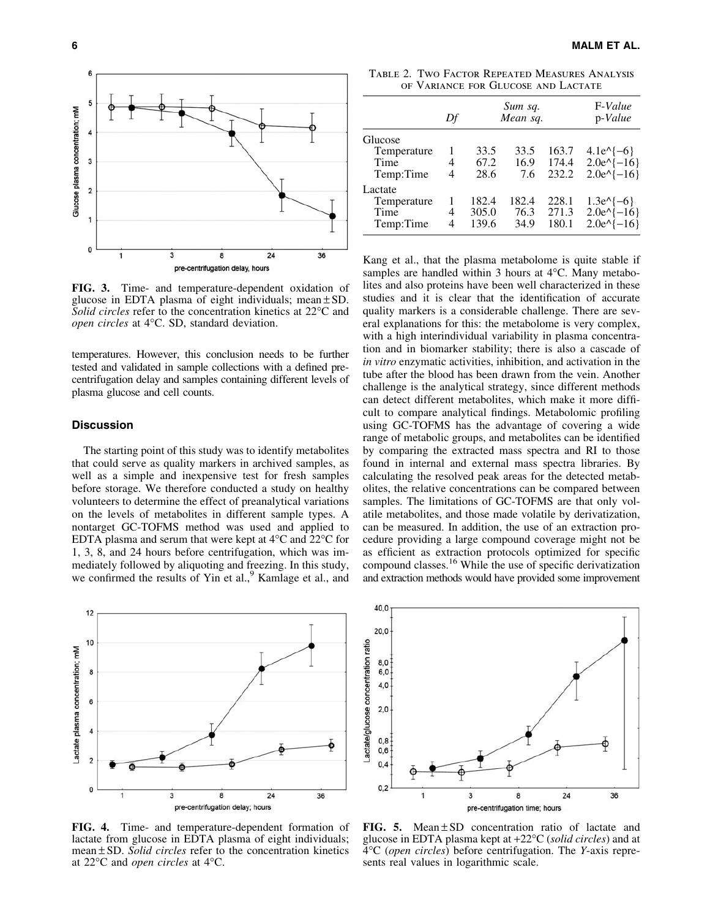

FIG. 3. Time- and temperature-dependent oxidation of glucose in EDTA plasma of eight individuals; mean  $\pm$  SD. Solid circles refer to the concentration kinetics at 22<sup>o</sup>C and open circles at 4°C. SD, standard deviation.

temperatures. However, this conclusion needs to be further tested and validated in sample collections with a defined precentrifugation delay and samples containing different levels of plasma glucose and cell counts.

## **Discussion**

The starting point of this study was to identify metabolites that could serve as quality markers in archived samples, as well as a simple and inexpensive test for fresh samples before storage. We therefore conducted a study on healthy volunteers to determine the effect of preanalytical variations on the levels of metabolites in different sample types. A nontarget GC-TOFMS method was used and applied to EDTA plasma and serum that were kept at  $4^{\circ}$ C and  $22^{\circ}$ C for 1, 3, 8, and 24 hours before centrifugation, which was immediately followed by aliquoting and freezing. In this study, we confirmed the results of Yin et al.,<sup>9</sup> Kamlage et al., and



FIG. 4. Time- and temperature-dependent formation of lactate from glucose in EDTA plasma of eight individuals; mean  $\pm$  SD. *Solid circles* refer to the concentration kinetics at 22°C and *open circles* at 4°C.

Table 2. Two Factor Repeated Measures Analysis of Variance for Glucose and Lactate

|                                             | Df          |                         | Sum sq.<br>Mean sq.   | F-Value<br>p-Value      |                                                   |  |
|---------------------------------------------|-------------|-------------------------|-----------------------|-------------------------|---------------------------------------------------|--|
| Glucose<br>Temperature                      | 1           | 33.5                    | 33.5                  | 163.7                   | $4.1e^{(-6)}$                                     |  |
| Time<br>Temp:Time                           | 4<br>4      | 67.2<br>28.6            | 16.9<br>7.6           | 174.4<br>232.2          | $2.0e^{(-16)}$<br>$2.0e^{(-16)}$                  |  |
| Lactate<br>Temperature<br>Time<br>Temp:Time | 1<br>4<br>4 | 182.4<br>305.0<br>139.6 | 182.4<br>76.3<br>34.9 | 228.1<br>271.3<br>180.1 | $1.3e^{(-6)}$<br>$2.0e^{(-16)}$<br>$2.0e^{(-16)}$ |  |

Kang et al., that the plasma metabolome is quite stable if samples are handled within 3 hours at  $4^{\circ}$ C. Many metabolites and also proteins have been well characterized in these studies and it is clear that the identification of accurate quality markers is a considerable challenge. There are several explanations for this: the metabolome is very complex, with a high interindividual variability in plasma concentration and in biomarker stability; there is also a cascade of *in vitro* enzymatic activities, inhibition, and activation in the tube after the blood has been drawn from the vein. Another challenge is the analytical strategy, since different methods can detect different metabolites, which make it more difficult to compare analytical findings. Metabolomic profiling using GC-TOFMS has the advantage of covering a wide range of metabolic groups, and metabolites can be identified by comparing the extracted mass spectra and RI to those found in internal and external mass spectra libraries. By calculating the resolved peak areas for the detected metabolites, the relative concentrations can be compared between samples. The limitations of GC-TOFMS are that only volatile metabolites, and those made volatile by derivatization, can be measured. In addition, the use of an extraction procedure providing a large compound coverage might not be as efficient as extraction protocols optimized for specific compound classes.<sup>16</sup> While the use of specific derivatization and extraction methods would have provided some improvement



FIG. 5. Mean  $\pm$  SD concentration ratio of lactate and glucose in EDTA plasma kept at +22-C (*solid circles*) and at 4-C (*open circles*) before centrifugation. The *Y*-axis represents real values in logarithmic scale.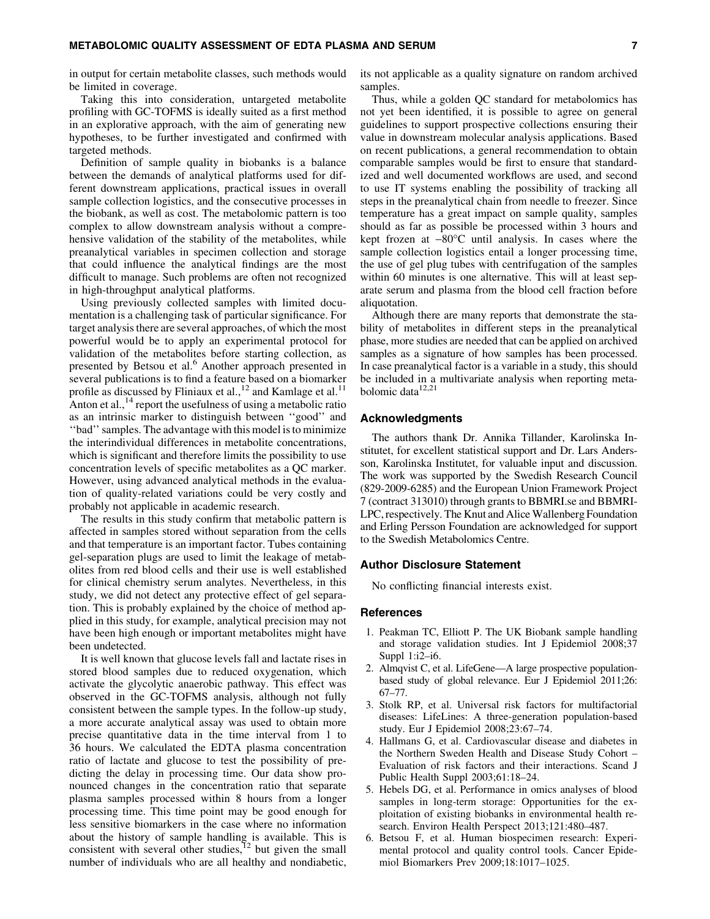in output for certain metabolite classes, such methods would be limited in coverage.

Taking this into consideration, untargeted metabolite profiling with GC-TOFMS is ideally suited as a first method in an explorative approach, with the aim of generating new hypotheses, to be further investigated and confirmed with targeted methods.

Definition of sample quality in biobanks is a balance between the demands of analytical platforms used for different downstream applications, practical issues in overall sample collection logistics, and the consecutive processes in the biobank, as well as cost. The metabolomic pattern is too complex to allow downstream analysis without a comprehensive validation of the stability of the metabolites, while preanalytical variables in specimen collection and storage that could influence the analytical findings are the most difficult to manage. Such problems are often not recognized in high-throughput analytical platforms.

Using previously collected samples with limited documentation is a challenging task of particular significance. For target analysis there are several approaches, of which the most powerful would be to apply an experimental protocol for validation of the metabolites before starting collection, as presented by Betsou et al.<sup>6</sup> Another approach presented in several publications is to find a feature based on a biomarker profile as discussed by Fliniaux et al.,<sup>12</sup> and Kamlage et al.<sup>11</sup> Anton et al.,  $^{14}$  report the usefulness of using a metabolic ratio as an intrinsic marker to distinguish between ''good'' and ''bad'' samples. The advantage with this model is to minimize the interindividual differences in metabolite concentrations, which is significant and therefore limits the possibility to use concentration levels of specific metabolites as a QC marker. However, using advanced analytical methods in the evaluation of quality-related variations could be very costly and probably not applicable in academic research.

The results in this study confirm that metabolic pattern is affected in samples stored without separation from the cells and that temperature is an important factor. Tubes containing gel-separation plugs are used to limit the leakage of metabolites from red blood cells and their use is well established for clinical chemistry serum analytes. Nevertheless, in this study, we did not detect any protective effect of gel separation. This is probably explained by the choice of method applied in this study, for example, analytical precision may not have been high enough or important metabolites might have been undetected.

It is well known that glucose levels fall and lactate rises in stored blood samples due to reduced oxygenation, which activate the glycolytic anaerobic pathway. This effect was observed in the GC-TOFMS analysis, although not fully consistent between the sample types. In the follow-up study, a more accurate analytical assay was used to obtain more precise quantitative data in the time interval from 1 to 36 hours. We calculated the EDTA plasma concentration ratio of lactate and glucose to test the possibility of predicting the delay in processing time. Our data show pronounced changes in the concentration ratio that separate plasma samples processed within 8 hours from a longer processing time. This time point may be good enough for less sensitive biomarkers in the case where no information about the history of sample handling is available. This is consistent with several other studies, $^{12}$  but given the small number of individuals who are all healthy and nondiabetic, its not applicable as a quality signature on random archived samples.

Thus, while a golden QC standard for metabolomics has not yet been identified, it is possible to agree on general guidelines to support prospective collections ensuring their value in downstream molecular analysis applications. Based on recent publications, a general recommendation to obtain comparable samples would be first to ensure that standardized and well documented workflows are used, and second to use IT systems enabling the possibility of tracking all steps in the preanalytical chain from needle to freezer. Since temperature has a great impact on sample quality, samples should as far as possible be processed within 3 hours and kept frozen at  $-80^{\circ}$ C until analysis. In cases where the sample collection logistics entail a longer processing time, the use of gel plug tubes with centrifugation of the samples within 60 minutes is one alternative. This will at least separate serum and plasma from the blood cell fraction before aliquotation.

Although there are many reports that demonstrate the stability of metabolites in different steps in the preanalytical phase, more studies are needed that can be applied on archived samples as a signature of how samples has been processed. In case preanalytical factor is a variable in a study, this should be included in a multivariate analysis when reporting metabolomic data<sup>12,21</sup>

#### Acknowledgments

The authors thank Dr. Annika Tillander, Karolinska Institutet, for excellent statistical support and Dr. Lars Andersson, Karolinska Institutet, for valuable input and discussion. The work was supported by the Swedish Research Council (829-2009-6285) and the European Union Framework Project 7 (contract 313010) through grants to BBMRI.se and BBMRI-LPC, respectively. The Knut and Alice Wallenberg Foundation and Erling Persson Foundation are acknowledged for support to the Swedish Metabolomics Centre.

#### Author Disclosure Statement

No conflicting financial interests exist.

# **References**

- 1. Peakman TC, Elliott P. The UK Biobank sample handling and storage validation studies. Int J Epidemiol 2008;37 Suppl 1:i2–i6.
- 2. Almqvist C, et al. LifeGene—A large prospective populationbased study of global relevance. Eur J Epidemiol 2011;26: 67–77.
- 3. Stolk RP, et al. Universal risk factors for multifactorial diseases: LifeLines: A three-generation population-based study. Eur J Epidemiol 2008;23:67–74.
- 4. Hallmans G, et al. Cardiovascular disease and diabetes in the Northern Sweden Health and Disease Study Cohort – Evaluation of risk factors and their interactions. Scand J Public Health Suppl 2003;61:18–24.
- 5. Hebels DG, et al. Performance in omics analyses of blood samples in long-term storage: Opportunities for the exploitation of existing biobanks in environmental health research. Environ Health Perspect 2013;121:480–487.
- 6. Betsou F, et al. Human biospecimen research: Experimental protocol and quality control tools. Cancer Epidemiol Biomarkers Prev 2009;18:1017–1025.